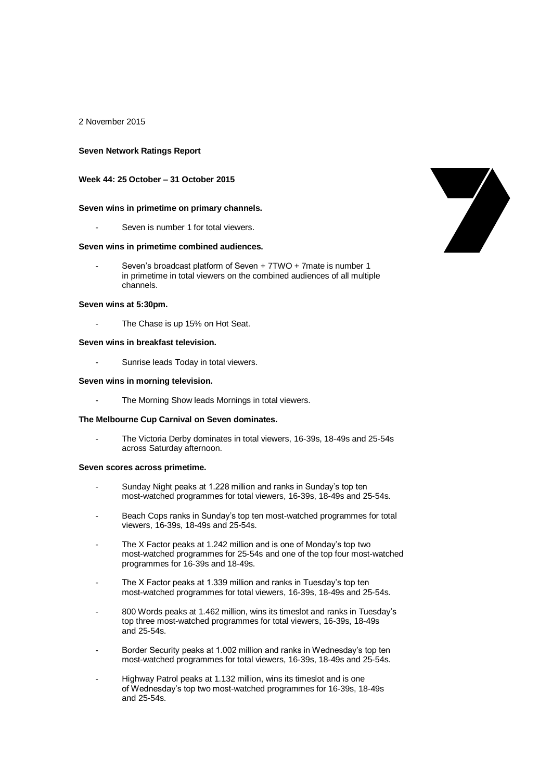2 November 2015

#### **Seven Network Ratings Report**

### **Week 44: 25 October – 31 October 2015**

#### **Seven wins in primetime on primary channels.**

Seven is number 1 for total viewers.

#### **Seven wins in primetime combined audiences.**

Seven's broadcast platform of Seven + 7TWO + 7mate is number 1 in primetime in total viewers on the combined audiences of all multiple channels.

#### **Seven wins at 5:30pm.**

The Chase is up 15% on Hot Seat.

### **Seven wins in breakfast television.**

- Sunrise leads Today in total viewers.

## **Seven wins in morning television.**

The Morning Show leads Mornings in total viewers.

#### **The Melbourne Cup Carnival on Seven dominates.**

The Victoria Derby dominates in total viewers, 16-39s, 18-49s and 25-54s across Saturday afternoon.

#### **Seven scores across primetime.**

- Sunday Night peaks at 1.228 million and ranks in Sunday's top ten most-watched programmes for total viewers, 16-39s, 18-49s and 25-54s.
- Beach Cops ranks in Sunday's top ten most-watched programmes for total viewers, 16-39s, 18-49s and 25-54s.
- The X Factor peaks at 1.242 million and is one of Monday's top two most-watched programmes for 25-54s and one of the top four most-watched programmes for 16-39s and 18-49s.
- The X Factor peaks at 1.339 million and ranks in Tuesday's top ten most-watched programmes for total viewers, 16-39s, 18-49s and 25-54s.
- 800 Words peaks at 1.462 million, wins its timeslot and ranks in Tuesday's top three most-watched programmes for total viewers, 16-39s, 18-49s and 25-54s.
- Border Security peaks at 1.002 million and ranks in Wednesday's top ten most-watched programmes for total viewers, 16-39s, 18-49s and 25-54s.
- Highway Patrol peaks at 1.132 million, wins its timeslot and is one of Wednesday's top two most-watched programmes for 16-39s, 18-49s and 25-54s.

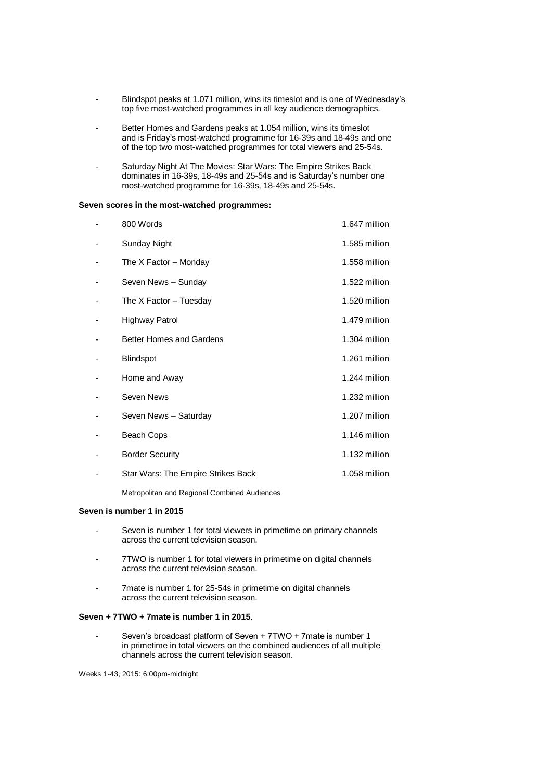- Blindspot peaks at 1.071 million, wins its timeslot and is one of Wednesday's top five most-watched programmes in all key audience demographics.
- Better Homes and Gardens peaks at 1.054 million, wins its timeslot and is Friday's most-watched programme for 16-39s and 18-49s and one of the top two most-watched programmes for total viewers and 25-54s.
- Saturday Night At The Movies: Star Wars: The Empire Strikes Back dominates in 16-39s, 18-49s and 25-54s and is Saturday's number one most-watched programme for 16-39s, 18-49s and 25-54s.

#### **Seven scores in the most-watched programmes:**

| 800 Words                          | 1.647 million |
|------------------------------------|---------------|
| Sunday Night                       | 1.585 million |
| The X Factor - Monday              | 1.558 million |
| Seven News - Sunday                | 1.522 million |
| The X Factor – Tuesday             | 1.520 million |
| Highway Patrol                     | 1.479 million |
| <b>Better Homes and Gardens</b>    | 1.304 million |
| <b>Blindspot</b>                   | 1.261 million |
| Home and Away                      | 1.244 million |
| Seven News                         | 1.232 million |
| Seven News - Saturday              | 1.207 million |
| Beach Cops                         | 1.146 million |
| <b>Border Security</b>             | 1.132 million |
| Star Wars: The Empire Strikes Back | 1.058 million |

Metropolitan and Regional Combined Audiences

## **Seven is number 1 in 2015**

- Seven is number 1 for total viewers in primetime on primary channels across the current television season.
- 7TWO is number 1 for total viewers in primetime on digital channels across the current television season.
- 7mate is number 1 for 25-54s in primetime on digital channels across the current television season.

### **Seven + 7TWO + 7mate is number 1 in 2015**.

Seven's broadcast platform of Seven + 7TWO + 7mate is number 1 in primetime in total viewers on the combined audiences of all multiple channels across the current television season.

Weeks 1-43, 2015: 6:00pm-midnight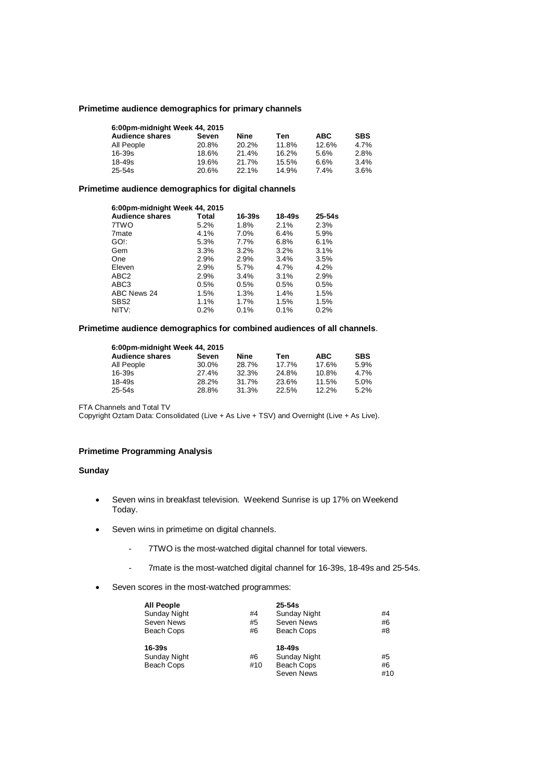### **Primetime audience demographics for primary channels**

| 6:00pm-midnight Week 44, 2015 |       |       |       |            |            |  |  |
|-------------------------------|-------|-------|-------|------------|------------|--|--|
| <b>Audience shares</b>        | Seven | Nine  | Ten   | <b>ABC</b> | <b>SBS</b> |  |  |
| All People                    | 20.8% | 20.2% | 11.8% | 12.6%      | 4.7%       |  |  |
| $16 - 39s$                    | 18.6% | 21.4% | 16.2% | 5.6%       | 2.8%       |  |  |
| $18 - 49s$                    | 19.6% | 21.7% | 15.5% | 6.6%       | 3.4%       |  |  |
| $25 - 54s$                    | 20.6% | 22.1% | 14.9% | 7.4%       | 3.6%       |  |  |

## **Primetime audience demographics for digital channels**

| 6:00pm-midnight Week 44, 2015 |         |        |        |            |  |
|-------------------------------|---------|--------|--------|------------|--|
| <b>Audience shares</b>        | Total   | 16-39s | 18-49s | $25 - 54s$ |  |
| 7TWO                          | 5.2%    | 1.8%   | 2.1%   | 2.3%       |  |
| 7 <sub>mate</sub>             | 4.1%    | 7.0%   | 6.4%   | 5.9%       |  |
| GO!:                          | 5.3%    | 7.7%   | 6.8%   | 6.1%       |  |
| Gem                           | 3.3%    | 3.2%   | 3.2%   | 3.1%       |  |
| One                           | 2.9%    | 2.9%   | 3.4%   | 3.5%       |  |
| Eleven                        | 2.9%    | 5.7%   | 4.7%   | 4.2%       |  |
| ABC <sub>2</sub>              | 2.9%    | 3.4%   | 3.1%   | 2.9%       |  |
| ABC <sub>3</sub>              | 0.5%    | 0.5%   | 0.5%   | 0.5%       |  |
| ABC News 24                   | 1.5%    | 1.3%   | 1.4%   | 1.5%       |  |
| SBS <sub>2</sub>              | 1.1%    | 1.7%   | 1.5%   | 1.5%       |  |
| NITV:                         | $0.2\%$ | 0.1%   | 0.1%   | 0.2%       |  |

## **Primetime audience demographics for combined audiences of all channels**.

| 6:00pm-midnight Week 44, 2015 |       |       |       |            |            |  |
|-------------------------------|-------|-------|-------|------------|------------|--|
| <b>Audience shares</b>        | Seven | Nine  | Ten   | <b>ABC</b> | <b>SBS</b> |  |
| All People                    | 30.0% | 28.7% | 17.7% | 17.6%      | 5.9%       |  |
| 16-39s                        | 27.4% | 32.3% | 24.8% | 10.8%      | 4.7%       |  |
| 18-49s                        | 28.2% | 31.7% | 23.6% | 11.5%      | 5.0%       |  |
| 25-54s                        | 28.8% | 31.3% | 22.5% | 12.2%      | 5.2%       |  |

FTA Channels and Total TV

Copyright Oztam Data: Consolidated (Live + As Live + TSV) and Overnight (Live + As Live).

# **Primetime Programming Analysis**

## **Sunday**

- Seven wins in breakfast television. Weekend Sunrise is up 17% on Weekend Today.
- Seven wins in primetime on digital channels.
	- 7TWO is the most-watched digital channel for total viewers.
	- 7mate is the most-watched digital channel for 16-39s, 18-49s and 25-54s.
- Seven scores in the most-watched programmes:

| <b>All People</b> |     | $25 - 54s$          |     |
|-------------------|-----|---------------------|-----|
| Sunday Night      | #4  | <b>Sunday Night</b> | #4  |
| Seven News        | #5  | Seven News          | #6  |
| Beach Cops        | #6  | Beach Cops          | #8  |
| 16-39s            |     | 18-49s              |     |
| Sunday Night      | #6  | <b>Sunday Night</b> | #5  |
| Beach Cops        | #10 | <b>Beach Cops</b>   | #6  |
|                   |     | Seven News          | #10 |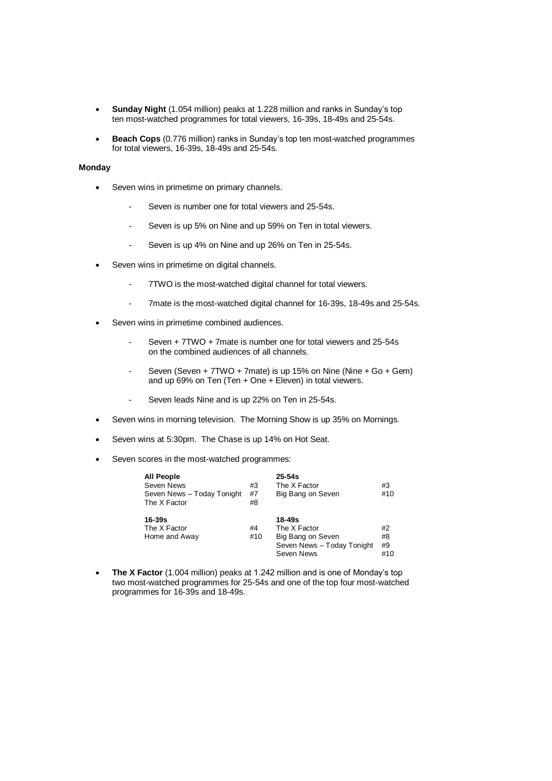- **Sunday Night** (1.054 million) peaks at 1.228 million and ranks in Sunday's top ten most-watched programmes for total viewers, 16-39s, 18-49s and 25-54s.
- **Beach Cops** (0.776 million) ranks in Sunday's top ten most-watched programmes for total viewers, 16-39s, 18-49s and 25-54s.

## **Monday**

- Seven wins in primetime on primary channels.
	- Seven is number one for total viewers and 25-54s.
	- Seven is up 5% on Nine and up 59% on Ten in total viewers.
	- Seven is up 4% on Nine and up 26% on Ten in 25-54s.
- Seven wins in primetime on digital channels.
	- 7TWO is the most-watched digital channel for total viewers.
	- 7mate is the most-watched digital channel for 16-39s, 18-49s and 25-54s.
- Seven wins in primetime combined audiences.
	- Seven + 7TWO + 7mate is number one for total viewers and 25-54s on the combined audiences of all channels.
	- Seven (Seven  $+ 7TWO + 7m$ ate) is up 15% on Nine (Nine  $+ Go + Gem$ ) and up 69% on Ten (Ten + One + Eleven) in total viewers.
	- Seven leads Nine and is up 22% on Ten in 25-54s.
- Seven wins in morning television. The Morning Show is up 35% on Mornings.
- Seven wins at 5:30pm. The Chase is up 14% on Hot Seat.
- Seven scores in the most-watched programmes:

| <b>All People</b><br>Seven News<br>Seven News - Today Tonight<br>The X Factor | #3<br>#7<br>#8 | $25 - 54s$<br>The X Factor<br>Big Bang on Seven                                         | #3<br>#10             |
|-------------------------------------------------------------------------------|----------------|-----------------------------------------------------------------------------------------|-----------------------|
| $16 - 39s$<br>The X Factor<br>Home and Away                                   | #4<br>#10      | 18-49s<br>The X Factor<br>Big Bang on Seven<br>Seven News - Today Tonight<br>Seven News | #2<br>#8<br>#9<br>#10 |

 **The X Factor** (1.004 million) peaks at 1.242 million and is one of Monday's top two most-watched programmes for 25-54s and one of the top four most-watched programmes for 16-39s and 18-49s.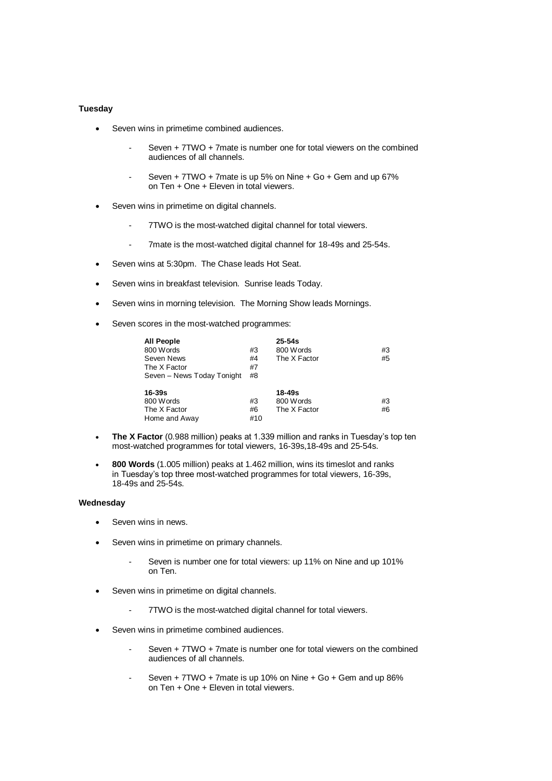## **Tuesday**

- Seven wins in primetime combined audiences.
	- Seven + 7TWO + 7mate is number one for total viewers on the combined audiences of all channels.
	- Seven + 7TWO + 7mate is up 5% on Nine + Go + Gem and up 67% on Ten + One + Eleven in total viewers.
- Seven wins in primetime on digital channels.
	- 7TWO is the most-watched digital channel for total viewers.
	- 7mate is the most-watched digital channel for 18-49s and 25-54s.
- Seven wins at 5:30pm. The Chase leads Hot Seat.
- Seven wins in breakfast television. Sunrise leads Today.
- Seven wins in morning television. The Morning Show leads Mornings.
- Seven scores in the most-watched programmes:

| <b>All People</b>          |     | $25 - 54s$   |    |
|----------------------------|-----|--------------|----|
| 800 Words                  | #3  | 800 Words    | #3 |
| Seven News                 | #4  | The X Factor | #5 |
| The X Factor               | #7  |              |    |
| Seven - News Today Tonight | #8  |              |    |
| 16-39s                     |     | 18-49s       |    |
| 800 Words                  | #3  | 800 Words    | #3 |
| The X Factor               | #6  | The X Factor | #6 |
| Home and Away              | #10 |              |    |

- **The X Factor** (0.988 million) peaks at 1.339 million and ranks in Tuesday's top ten most-watched programmes for total viewers, 16-39s,18-49s and 25-54s.
- **800 Words** (1.005 million) peaks at 1.462 million, wins its timeslot and ranks in Tuesday's top three most-watched programmes for total viewers, 16-39s, 18-49s and 25-54s.

## **Wednesday**

- Seven wins in news.
- Seven wins in primetime on primary channels.
	- Seven is number one for total viewers: up 11% on Nine and up 101% on Ten.
- Seven wins in primetime on digital channels.
	- 7TWO is the most-watched digital channel for total viewers.
- Seven wins in primetime combined audiences.
	- Seven + 7TWO + 7mate is number one for total viewers on the combined audiences of all channels.
	- Seven +  $7TWO + 7$  mate is up 10% on Nine +  $Go + Gem$  and up 86% on Ten + One + Eleven in total viewers.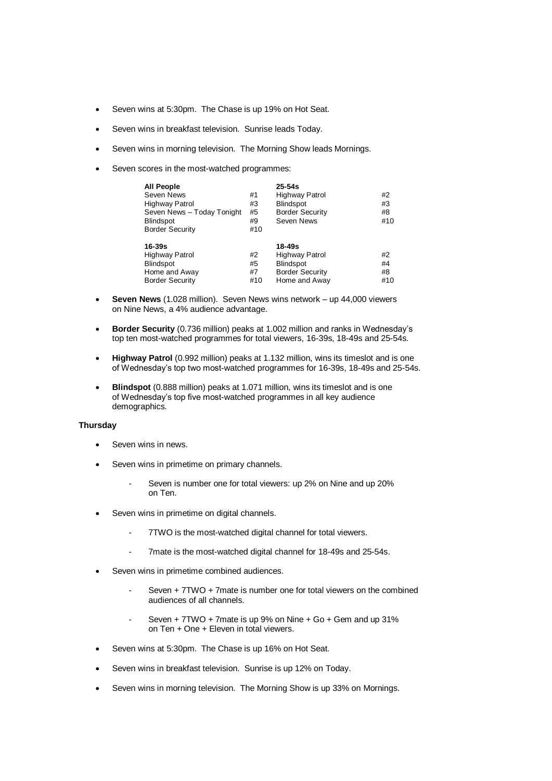- Seven wins at 5:30pm. The Chase is up 19% on Hot Seat.
- Seven wins in breakfast television. Sunrise leads Today.
- Seven wins in morning television. The Morning Show leads Mornings.
- Seven scores in the most-watched programmes:

| <b>All People</b><br>Seven News<br>Highway Patrol<br>Seven News - Today Tonight<br><b>Blindspot</b><br><b>Border Security</b> | #1<br>#3<br>#5<br>#9<br>#10 | $25 - 54s$<br><b>Highway Patrol</b><br><b>Blindspot</b><br><b>Border Security</b><br>Seven News | #2<br>#3<br>#8<br>#10 |
|-------------------------------------------------------------------------------------------------------------------------------|-----------------------------|-------------------------------------------------------------------------------------------------|-----------------------|
| 16-39s<br><b>Highway Patrol</b><br><b>Blindspot</b><br>Home and Away<br><b>Border Security</b>                                | #2<br>#5<br>#7<br>#10       | 18-49s<br><b>Highway Patrol</b><br><b>Blindspot</b><br><b>Border Security</b><br>Home and Away  | #2<br>#4<br>#8<br>#10 |

- **Seven News** (1.028 million). Seven News wins network up 44,000 viewers on Nine News, a 4% audience advantage.
- **Border Security** (0.736 million) peaks at 1.002 million and ranks in Wednesday's top ten most-watched programmes for total viewers, 16-39s, 18-49s and 25-54s.
- **Highway Patrol** (0.992 million) peaks at 1.132 million, wins its timeslot and is one of Wednesday's top two most-watched programmes for 16-39s, 18-49s and 25-54s.
- **Blindspot** (0.888 million) peaks at 1.071 million, wins its timeslot and is one of Wednesday's top five most-watched programmes in all key audience demographics.

## **Thursday**

- Seven wins in news.
- Seven wins in primetime on primary channels.
	- Seven is number one for total viewers: up 2% on Nine and up 20% on Ten.
- Seven wins in primetime on digital channels.
	- 7TWO is the most-watched digital channel for total viewers.
	- 7mate is the most-watched digital channel for 18-49s and 25-54s.
- Seven wins in primetime combined audiences.
	- Seven + 7TWO + 7mate is number one for total viewers on the combined audiences of all channels.
	- Seven  $+ 7TWO + 7$  mate is up 9% on Nine  $+ Go +$  Gem and up 31% on Ten + One + Eleven in total viewers.
- Seven wins at 5:30pm. The Chase is up 16% on Hot Seat.
- Seven wins in breakfast television. Sunrise is up 12% on Today.
- Seven wins in morning television. The Morning Show is up 33% on Mornings.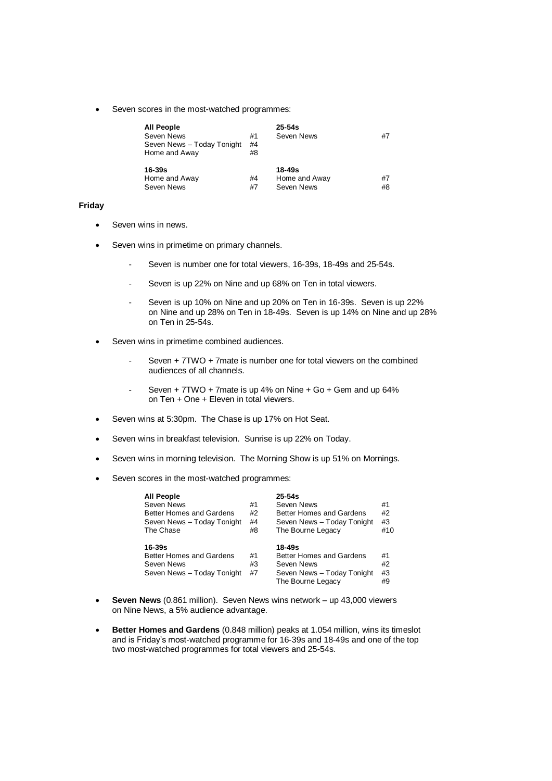Seven scores in the most-watched programmes:

| <b>All People</b>          |    | $25 - 54s$    |    |
|----------------------------|----|---------------|----|
| Seven News                 | #1 | Seven News    | #7 |
| Seven News - Today Tonight | #4 |               |    |
| Home and Away              | #8 |               |    |
| $16-39s$                   |    | 18-49s        |    |
| Home and Away              | #4 | Home and Away | #7 |
| Seven News                 | #7 | Seven News    | #8 |

### **Friday**

- Seven wins in news.
- Seven wins in primetime on primary channels.
	- Seven is number one for total viewers, 16-39s, 18-49s and 25-54s.
	- Seven is up 22% on Nine and up 68% on Ten in total viewers.
	- Seven is up 10% on Nine and up 20% on Ten in 16-39s. Seven is up 22% on Nine and up 28% on Ten in 18-49s. Seven is up 14% on Nine and up 28% on Ten in 25-54s.
- Seven wins in primetime combined audiences.
	- Seven + 7TWO + 7mate is number one for total viewers on the combined audiences of all channels.
	- Seven + 7TWO + 7mate is up 4% on Nine + Go + Gem and up 64% on Ten + One + Eleven in total viewers.
- Seven wins at 5:30pm. The Chase is up 17% on Hot Seat.
- Seven wins in breakfast television. Sunrise is up 22% on Today.
- Seven wins in morning television. The Morning Show is up 51% on Mornings.
- Seven scores in the most-watched programmes:

| <b>All People</b><br>Seven News<br>Better Homes and Gardens<br>Seven News - Today Tonight<br>The Chase | #1<br>#2<br>#4<br>#8 | $25 - 54s$<br>Seven News<br>Better Homes and Gardens<br>Seven News - Today Tonight<br>The Bourne Legacy | #1<br>#2<br>#3<br>#10 |
|--------------------------------------------------------------------------------------------------------|----------------------|---------------------------------------------------------------------------------------------------------|-----------------------|
| $16 - 39s$<br>Better Homes and Gardens<br>Seven News<br>Seven News - Today Tonight                     | #1<br>#3<br>#7       | 18-49s<br>Better Homes and Gardens<br>Seven News<br>Seven News - Today Tonight<br>The Bourne Legacy     | #1<br>#2<br>#3<br>#9  |

- **Seven News** (0.861 million). Seven News wins network up 43,000 viewers on Nine News, a 5% audience advantage.
- **Better Homes and Gardens** (0.848 million) peaks at 1.054 million, wins its timeslot and is Friday's most-watched programme for 16-39s and 18-49s and one of the top two most-watched programmes for total viewers and 25-54s.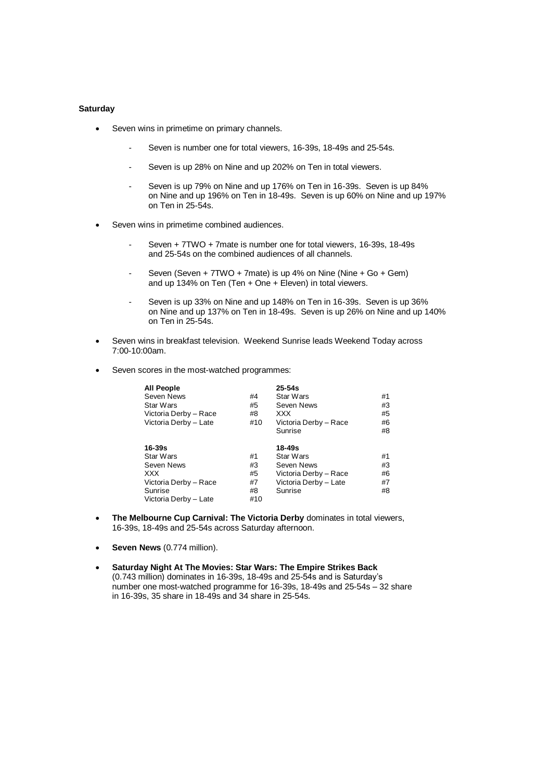## **Saturday**

- Seven wins in primetime on primary channels.
	- Seven is number one for total viewers, 16-39s, 18-49s and 25-54s.
	- Seven is up 28% on Nine and up 202% on Ten in total viewers.
	- Seven is up 79% on Nine and up 176% on Ten in 16-39s. Seven is up 84% on Nine and up 196% on Ten in 18-49s. Seven is up 60% on Nine and up 197% on Ten in 25-54s.
- Seven wins in primetime combined audiences.
	- Seven + 7TWO + 7mate is number one for total viewers, 16-39s, 18-49s and 25-54s on the combined audiences of all channels.
	- Seven (Seven + 7TWO + 7mate) is up 4% on Nine (Nine + Go + Gem) and up 134% on Ten (Ten + One + Eleven) in total viewers.
	- Seven is up 33% on Nine and up 148% on Ten in 16-39s. Seven is up 36% on Nine and up 137% on Ten in 18-49s. Seven is up 26% on Nine and up 140% on Ten in 25-54s.
- Seven wins in breakfast television. Weekend Sunrise leads Weekend Today across 7:00-10:00am.
- Seven scores in the most-watched programmes:

| <b>All People</b><br>Seven News<br>Star Wars<br>Victoria Derby - Race<br>Victoria Derby - Late                   | #4<br>#5<br>#8<br>#10             | $25 - 54s$<br>Star Wars<br>Seven News<br><b>XXX</b><br>Victoria Derby - Race<br>Sunrise            | #1<br>#3<br>#5<br>#6<br>#8 |
|------------------------------------------------------------------------------------------------------------------|-----------------------------------|----------------------------------------------------------------------------------------------------|----------------------------|
| $16 - 39s$<br>Star Wars<br>Seven News<br><b>XXX</b><br>Victoria Derby - Race<br>Sunrise<br>Victoria Derby - Late | #1<br>#3<br>#5<br>#7<br>#8<br>#10 | $18 - 49s$<br>Star Wars<br>Seven News<br>Victoria Derby - Race<br>Victoria Derby - Late<br>Sunrise | #1<br>#3<br>#6<br>#7<br>#8 |

- **The Melbourne Cup Carnival: The Victoria Derby** dominates in total viewers, 16-39s, 18-49s and 25-54s across Saturday afternoon.
- **Seven News** (0.774 million).
- **Saturday Night At The Movies: Star Wars: The Empire Strikes Back**  (0.743 million) dominates in 16-39s, 18-49s and 25-54s and is Saturday's number one most-watched programme for 16-39s, 18-49s and 25-54s – 32 share in 16-39s, 35 share in 18-49s and 34 share in 25-54s.